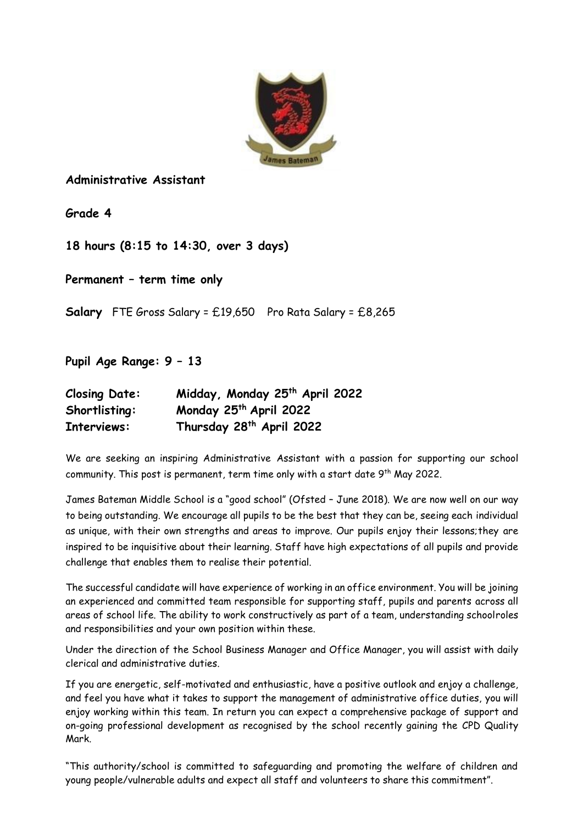

## **Administrative Assistant**

**Grade 4**

**18 hours (8:15 to 14:30, over 3 days)**

**Permanent – term time only**

**Salary** FTE Gross Salary = £19,650 Pro Rata Salary = £8,265

**Pupil Age Range: 9 – 13**

| <b>Closing Date:</b> | Midday, Monday 25 <sup>th</sup> April 2022 |
|----------------------|--------------------------------------------|
| Shortlisting:        | Monday 25th April 2022                     |
| Interviews:          | Thursday 28 <sup>th</sup> April 2022       |

We are seeking an inspiring Administrative Assistant with a passion for supporting our school community. This post is permanent, term time only with a start date  $9^{\text{th}}$  May 2022.

James Bateman Middle School is a "good school" (Ofsted – June 2018). We are now well on our way to being outstanding. We encourage all pupils to be the best that they can be, seeing each individual as unique, with their own strengths and areas to improve. Our pupils enjoy their lessons;they are inspired to be inquisitive about their learning. Staff have high expectations of all pupils and provide challenge that enables them to realise their potential.

The successful candidate will have experience of working in an office environment. You will be joining an experienced and committed team responsible for supporting staff, pupils and parents across all areas of school life. The ability to work constructively as part of a team, understanding schoolroles and responsibilities and your own position within these.

Under the direction of the School Business Manager and Office Manager, you will assist with daily clerical and administrative duties.

If you are energetic, self-motivated and enthusiastic, have a positive outlook and enjoy a challenge, and feel you have what it takes to support the management of administrative office duties, you will enjoy working within this team. In return you can expect a comprehensive package of support and on-going professional development as recognised by the school recently gaining the CPD Quality Mark.

"This authority/school is committed to safeguarding and promoting the welfare of children and young people/vulnerable adults and expect all staff and volunteers to share this commitment".